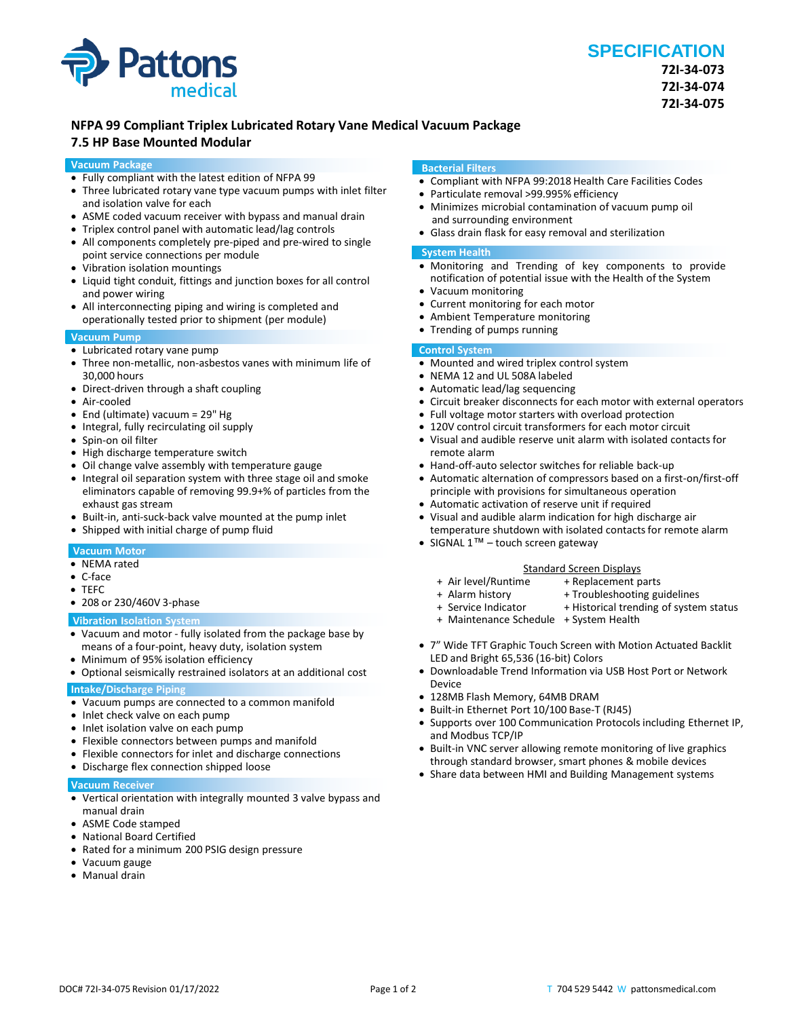

# **NFPA 99 Compliant Triplex Lubricated Rotary Vane Medical Vacuum Package**

# **7.5 HP Base Mounted Modular**

#### **Vacuum Package**

- Fully compliant with the latest edition of NFPA 99
- Three lubricated rotary vane type vacuum pumps with inlet filter and isolation valve for each
- ASME coded vacuum receiver with bypass and manual drain
- Triplex control panel with automatic lead/lag controls
- All components completely pre-piped and pre-wired to single point service connections per module
- Vibration isolation mountings
- Liquid tight conduit, fittings and junction boxes for all control and power wiring
- All interconnecting piping and wiring is completed and operationally tested prior to shipment (per module)

## **Vacuum Pump**

- Lubricated rotary vane pump
- Three non-metallic, non-asbestos vanes with minimum life of 30,000 hours
- Direct-driven through a shaft coupling
- Air-cooled
- End (ultimate) vacuum = 29" Hg
- Integral, fully recirculating oil supply
- Spin-on oil filter
- High discharge temperature switch
- Oil change valve assembly with temperature gauge
- Integral oil separation system with three stage oil and smoke eliminators capable of removing 99.9+% of particles from the exhaust gas stream
- Built-in, anti-suck-back valve mounted at the pump inlet
- Shipped with initial charge of pump fluid

#### **Vacuum Motor**

- NEMA rated
- C-face
- TEFC
- 208 or 230/460V 3-phase

#### **Vibration Isolation System**

- Vacuum and motor fully isolated from the package base by means of a four-point, heavy duty, isolation system
- Minimum of 95% isolation efficiency
- Optional seismically restrained isolators at an additional cost

# **Intake/Discharge Piping**

- Vacuum pumps are connected to a common manifold
- Inlet check valve on each pump
- Inlet isolation valve on each pump
- Flexible connectors between pumps and manifold
- Flexible connectors for inlet and discharge connections
- Discharge flex connection shipped loose

#### **Vacuum Receiver**

- Vertical orientation with integrally mounted 3 valve bypass and manual drain
- ASME Code stamped
- National Board Certified
- Rated for a minimum 200 PSIG design pressure
- Vacuum gauge
- Manual drain

#### **Bacterial Filters**

- Compliant with NFPA 99:2018 Health Care Facilities Codes
- Particulate removal >99.995% efficiency
- Minimizes microbial contamination of vacuum pump oil and surrounding environment
- Glass drain flask for easy removal and sterilization

#### **System Health**

- Monitoring and Trending of key components to provide notification of potential issue with the Health of the System
- Vacuum monitoring
- Current monitoring for each motor
- Ambient Temperature monitoring
- Trending of pumps running

### **Control System**

- Mounted and wired triplex control system
- NEMA 12 and UL 508A labeled
- Automatic lead/lag sequencing
- Circuit breaker disconnects for each motor with external operators
- Full voltage motor starters with overload protection
- 120V control circuit transformers for each motor circuit
- Visual and audible reserve unit alarm with isolated contacts for remote alarm
- Hand-off-auto selector switches for reliable back-up
- Automatic alternation of compressors based on a first-on/first-off principle with provisions for simultaneous operation
- Automatic activation of reserve unit if required • Visual and audible alarm indication for high discharge air
- temperature shutdown with isolated contacts for remote alarm
- SIGNAL 1™ touch screen gateway

- Standard Screen Displays<br>Air level/Runtime + Replacement p + Air level/Runtime + Replacement parts
- 
- + Alarm history + Troubleshooting guidelines<br>+ Service Indicator + Historical trending of system + Historical trending of system status
	-
- + Maintenance Schedule + System Health
- 7" Wide TFT Graphic Touch Screen with Motion Actuated Backlit LED and Bright 65,536 (16-bit) Colors
- Downloadable Trend Information via USB Host Port or Network Device
- 128MB Flash Memory, 64MB DRAM
- Built-in Ethernet Port 10/100 Base-T (RJ45)
- Supports over 100 Communication Protocols including Ethernet IP, and Modbus TCP/IP
- Built-in VNC server allowing remote monitoring of live graphics through standard browser, smart phones & mobile devices
- Share data between HMI and Building Management systems